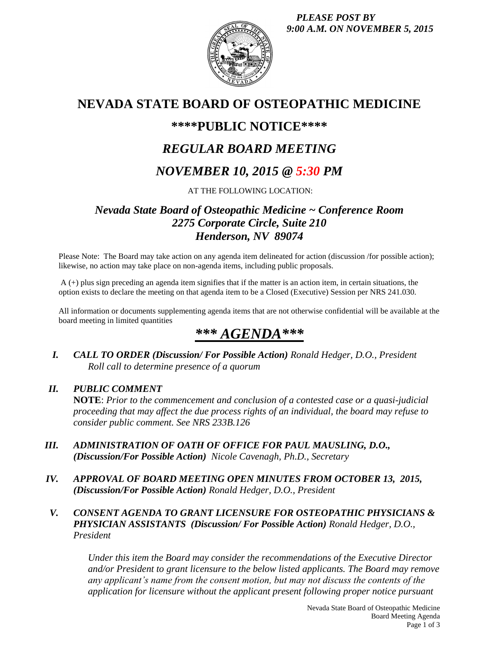*PLEASE POST BY 9:00 A.M. ON NOVEMBER 5, 2015*



# **NEVADA STATE BOARD OF OSTEOPATHIC MEDICINE**

## **\*\*\*\*PUBLIC NOTICE\*\*\*\***

# *REGULAR BOARD MEETING*

# *NOVEMBER 10, 2015 @ 5:30 PM*

AT THE FOLLOWING LOCATION:

## *Nevada State Board of Osteopathic Medicine ~ Conference Room 2275 Corporate Circle, Suite 210 Henderson, NV 89074*

Please Note: The Board may take action on any agenda item delineated for action (discussion /for possible action); likewise, no action may take place on non-agenda items, including public proposals.

A (+) plus sign preceding an agenda item signifies that if the matter is an action item, in certain situations, the option exists to declare the meeting on that agenda item to be a Closed (Executive) Session per NRS 241.030.

All information or documents supplementing agenda items that are not otherwise confidential will be available at the board meeting in limited quantities

# *\*\*\* AGENDA\*\*\**

*I. CALL TO ORDER (Discussion/ For Possible Action) Ronald Hedger, D.O., President Roll call to determine presence of a quorum*

### *II. PUBLIC COMMENT*

**NOTE**: *Prior to the commencement and conclusion of a contested case or a quasi-judicial proceeding that may affect the due process rights of an individual, the board may refuse to consider public comment. See NRS 233B.126*

- *III. ADMINISTRATION OF OATH OF OFFICE FOR PAUL MAUSLING, D.O., (Discussion/For Possible Action) Nicole Cavenagh, Ph.D., Secretary*
- *IV. APPROVAL OF BOARD MEETING OPEN MINUTES FROM OCTOBER 13, 2015, (Discussion/For Possible Action) Ronald Hedger, D.O., President*
- *V. CONSENT AGENDA TO GRANT LICENSURE FOR OSTEOPATHIC PHYSICIANS & PHYSICIAN ASSISTANTS (Discussion/ For Possible Action) Ronald Hedger, D.O., President*

*Under this item the Board may consider the recommendations of the Executive Director and/or President to grant licensure to the below listed applicants. The Board may remove any applicant's name from the consent motion, but may not discuss the contents of the application for licensure without the applicant present following proper notice pursuant*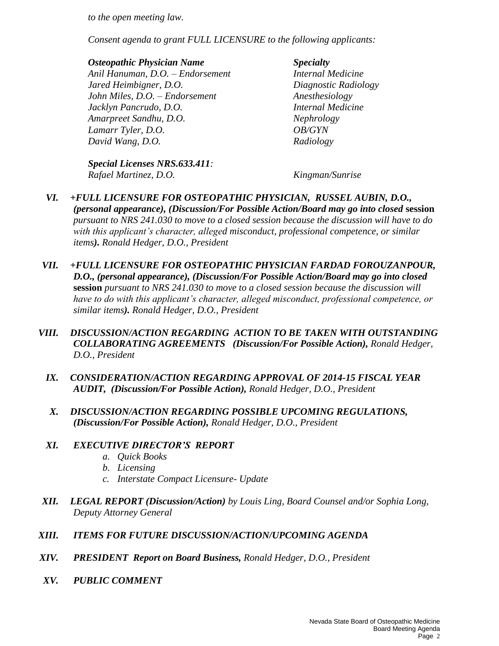*to the open meeting law.* 

*Consent agenda to grant FULL LICENSURE to the following applicants:*

#### *Osteopathic Physician Name Specialty*

*Anil Hanuman, D.O. – Endorsement Internal Medicine Jared Heimbigner, D.O. Diagnostic Radiology John Miles, D.O. – Endorsement Anesthesiology Jacklyn Pancrudo, D.O. Internal Medicine Amarpreet Sandhu, D.O. Nephrology Lamarr Tyler, D.O. OB/GYN David Wang, D.O. Radiology*

*Special Licenses NRS.633.411: Rafael Martinez, D.O. Kingman/Sunrise*

- *VI. +FULL LICENSURE FOR OSTEOPATHIC PHYSICIAN, RUSSEL AUBIN, D.O., (personal appearance), (Discussion/For Possible Action/Board may go into closed* **session** *pursuant to NRS 241.030 to move to a closed session because the discussion will have to do with this applicant's character, alleged misconduct, professional competence, or similar items). Ronald Hedger, D.O., President*
- *VII. +FULL LICENSURE FOR OSTEOPATHIC PHYSICIAN FARDAD FOROUZANPOUR, D.O., (personal appearance), (Discussion/For Possible Action/Board may go into closed*  **session** *pursuant to NRS 241.030 to move to a closed session because the discussion will have to do with this applicant's character, alleged misconduct, professional competence, or similar items). Ronald Hedger, D.O., President*
- *VIII. DISCUSSION/ACTION REGARDING ACTION TO BE TAKEN WITH OUTSTANDING COLLABORATING AGREEMENTS (Discussion/For Possible Action), Ronald Hedger, D.O., President*
	- *IX. CONSIDERATION/ACTION REGARDING APPROVAL OF 2014-15 FISCAL YEAR AUDIT, (Discussion/For Possible Action), Ronald Hedger, D.O., President*
	- *X. DISCUSSION/ACTION REGARDING POSSIBLE UPCOMING REGULATIONS, (Discussion/For Possible Action), Ronald Hedger, D.O., President*
	- *XI. EXECUTIVE DIRECTOR'S REPORT*
		- *a. Quick Books*
		- *b. Licensing*
		- *c. Interstate Compact Licensure- Update*
- *XII. LEGAL REPORT (Discussion/Action) by Louis Ling, Board Counsel and/or Sophia Long, Deputy Attorney General*
- *XIII. ITEMS FOR FUTURE DISCUSSION/ACTION/UPCOMING AGENDA*
- *XIV. PRESIDENT Report on Board Business, Ronald Hedger, D.O., President*
- *XV. PUBLIC COMMENT*